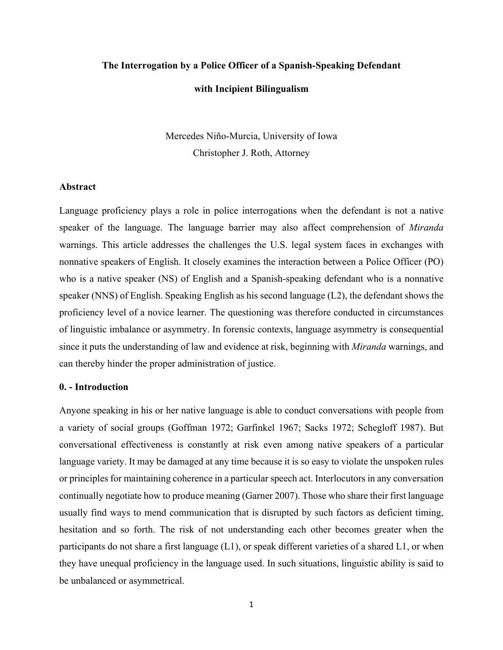# **The Interrogation by a Police Officer of a Spanish-Speaking Defendant with Incipient Bilingualism**

Mercedes Niño-Murcia, University of Iowa Christopher J. Roth, Attorney

#### **Abstract**

Language proficiency plays a role in police interrogations when the defendant is not a native speaker of the language. The language barrier may also affect comprehension of *Miranda* warnings. This article addresses the challenges the U.S. legal system faces in exchanges with nonnative speakers of English. It closely examines the interaction between a Police Officer (PO) who is a native speaker (NS) of English and a Spanish-speaking defendant who is a nonnative speaker (NNS) of English. Speaking English as his second language (L2), the defendant shows the proficiency level of a novice learner. The questioning was therefore conducted in circumstances of linguistic imbalance or asymmetry. In forensic contexts, language asymmetry is consequential since it puts the understanding of law and evidence at risk, beginning with *Miranda* warnings, and can thereby hinder the proper administration of justice.

#### **0. - Introduction**

Anyone speaking in his or her native language is able to conduct conversations with people from a variety of social groups (Goffman 1972; Garfinkel 1967; Sacks 1972; Schegloff 1987). But conversational effectiveness is constantly at risk even among native speakers of a particular language variety. It may be damaged at any time because it is so easy to violate the unspoken rules or principles for maintaining coherence in a particular speech act. Interlocutors in any conversation continually negotiate how to produce meaning (Garner 2007). Those who share their first language usually find ways to mend communication that is disrupted by such factors as deficient timing, hesitation and so forth. The risk of not understanding each other becomes greater when the participants do not share a first language (L1), or speak different varieties of a shared L1, or when they have unequal proficiency in the language used. In such situations, linguistic ability is said to be unbalanced or asymmetrical.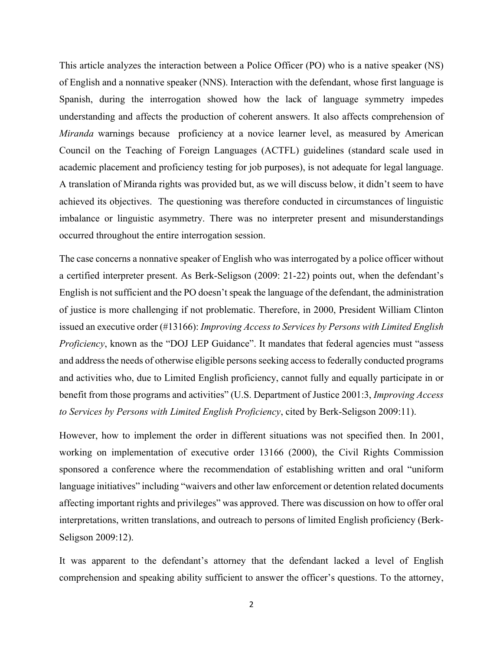This article analyzes the interaction between a Police Officer (PO) who is a native speaker (NS) of English and a nonnative speaker (NNS). Interaction with the defendant, whose first language is Spanish, during the interrogation showed how the lack of language symmetry impedes understanding and affects the production of coherent answers. It also affects comprehension of *Miranda* warnings because proficiency at a novice learner level, as measured by American Council on the Teaching of Foreign Languages (ACTFL) guidelines (standard scale used in academic placement and proficiency testing for job purposes), is not adequate for legal language. A translation of Miranda rights was provided but, as we will discuss below, it didn't seem to have achieved its objectives. The questioning was therefore conducted in circumstances of linguistic imbalance or linguistic asymmetry. There was no interpreter present and misunderstandings occurred throughout the entire interrogation session.

The case concerns a nonnative speaker of English who was interrogated by a police officer without a certified interpreter present. As Berk-Seligson (2009: 21-22) points out, when the defendant's English is not sufficient and the PO doesn't speak the language of the defendant, the administration of justice is more challenging if not problematic. Therefore, in 2000, President William Clinton issued an executive order (#13166): *Improving Access to Services by Persons with Limited English Proficiency*, known as the "DOJ LEP Guidance". It mandates that federal agencies must "assess and address the needs of otherwise eligible persons seeking access to federally conducted programs and activities who, due to Limited English proficiency, cannot fully and equally participate in or benefit from those programs and activities" (U.S. Department of Justice 2001:3, *Improving Access to Services by Persons with Limited English Proficiency*, cited by Berk-Seligson 2009:11).

However, how to implement the order in different situations was not specified then. In 2001, working on implementation of executive order 13166 (2000), the Civil Rights Commission sponsored a conference where the recommendation of establishing written and oral "uniform language initiatives" including "waivers and other law enforcement or detention related documents affecting important rights and privileges" was approved. There was discussion on how to offer oral interpretations, written translations, and outreach to persons of limited English proficiency (Berk-Seligson 2009:12).

It was apparent to the defendant's attorney that the defendant lacked a level of English comprehension and speaking ability sufficient to answer the officer's questions. To the attorney,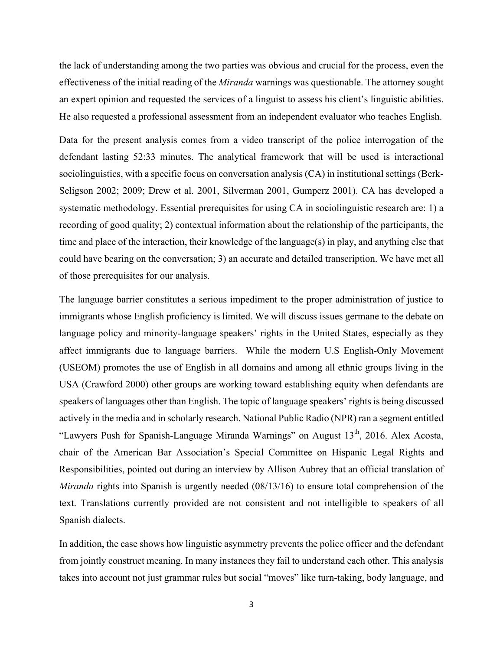the lack of understanding among the two parties was obvious and crucial for the process, even the effectiveness of the initial reading of the *Miranda* warnings was questionable. The attorney sought an expert opinion and requested the services of a linguist to assess his client's linguistic abilities. He also requested a professional assessment from an independent evaluator who teaches English.

Data for the present analysis comes from a video transcript of the police interrogation of the defendant lasting 52:33 minutes. The analytical framework that will be used is interactional sociolinguistics, with a specific focus on conversation analysis (CA) in institutional settings (Berk-Seligson 2002; 2009; Drew et al. 2001, Silverman 2001, Gumperz 2001). CA has developed a systematic methodology. Essential prerequisites for using CA in sociolinguistic research are: 1) a recording of good quality; 2) contextual information about the relationship of the participants, the time and place of the interaction, their knowledge of the language(s) in play, and anything else that could have bearing on the conversation; 3) an accurate and detailed transcription. We have met all of those prerequisites for our analysis.

The language barrier constitutes a serious impediment to the proper administration of justice to immigrants whose English proficiency is limited. We will discuss issues germane to the debate on language policy and minority-language speakers' rights in the United States, especially as they affect immigrants due to language barriers. While the modern U.S English-Only Movement (USEOM) promotes the use of English in all domains and among all ethnic groups living in the USA (Crawford 2000) other groups are working toward establishing equity when defendants are speakers of languages other than English. The topic of language speakers' rights is being discussed actively in the media and in scholarly research. National Public Radio (NPR) ran a segment entitled "Lawyers Push for Spanish-Language Miranda Warnings" on August  $13<sup>th</sup>$ , 2016. Alex Acosta, chair of the American Bar Association's Special Committee on Hispanic Legal Rights and Responsibilities, pointed out during an interview by Allison Aubrey that an official translation of *Miranda* rights into Spanish is urgently needed (08/13/16) to ensure total comprehension of the text. Translations currently provided are not consistent and not intelligible to speakers of all Spanish dialects.

In addition, the case shows how linguistic asymmetry prevents the police officer and the defendant from jointly construct meaning. In many instances they fail to understand each other. This analysis takes into account not just grammar rules but social "moves" like turn-taking, body language, and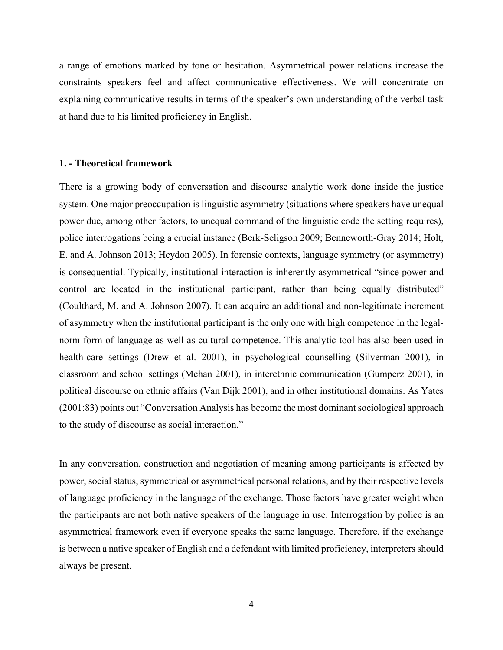a range of emotions marked by tone or hesitation. Asymmetrical power relations increase the constraints speakers feel and affect communicative effectiveness. We will concentrate on explaining communicative results in terms of the speaker's own understanding of the verbal task at hand due to his limited proficiency in English.

## **1. - Theoretical framework**

There is a growing body of conversation and discourse analytic work done inside the justice system. One major preoccupation is linguistic asymmetry (situations where speakers have unequal power due, among other factors, to unequal command of the linguistic code the setting requires), police interrogations being a crucial instance (Berk-Seligson 2009; Benneworth-Gray 2014; Holt, E. and A. Johnson 2013; Heydon 2005). In forensic contexts, language symmetry (or asymmetry) is consequential. Typically, institutional interaction is inherently asymmetrical "since power and control are located in the institutional participant, rather than being equally distributed" (Coulthard, M. and A. Johnson 2007). It can acquire an additional and non-legitimate increment of asymmetry when the institutional participant is the only one with high competence in the legalnorm form of language as well as cultural competence. This analytic tool has also been used in health-care settings (Drew et al. 2001), in psychological counselling (Silverman 2001), in classroom and school settings (Mehan 2001), in interethnic communication (Gumperz 2001), in political discourse on ethnic affairs (Van Dijk 2001), and in other institutional domains. As Yates (2001:83) points out "Conversation Analysis has become the most dominant sociological approach to the study of discourse as social interaction."

In any conversation, construction and negotiation of meaning among participants is affected by power, social status, symmetrical or asymmetrical personal relations, and by their respective levels of language proficiency in the language of the exchange. Those factors have greater weight when the participants are not both native speakers of the language in use. Interrogation by police is an asymmetrical framework even if everyone speaks the same language. Therefore, if the exchange is between a native speaker of English and a defendant with limited proficiency, interpreters should always be present.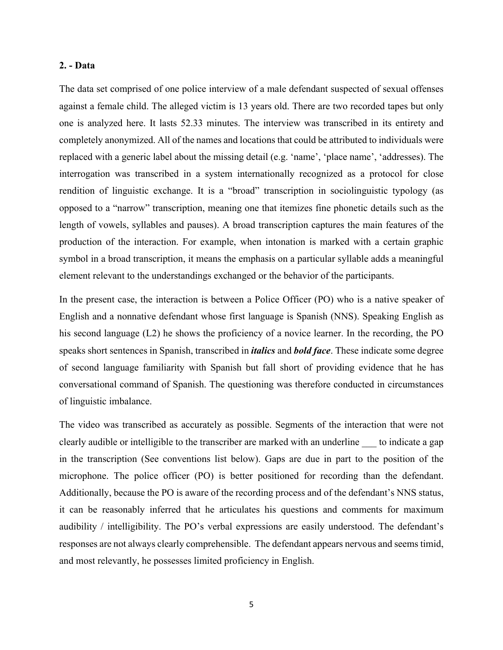#### **2. - Data**

The data set comprised of one police interview of a male defendant suspected of sexual offenses against a female child. The alleged victim is 13 years old. There are two recorded tapes but only one is analyzed here. It lasts 52.33 minutes. The interview was transcribed in its entirety and completely anonymized. All of the names and locations that could be attributed to individuals were replaced with a generic label about the missing detail (e.g. 'name', 'place name', 'addresses). The interrogation was transcribed in a system internationally recognized as a protocol for close rendition of linguistic exchange. It is a "broad" transcription in sociolinguistic typology (as opposed to a "narrow" transcription, meaning one that itemizes fine phonetic details such as the length of vowels, syllables and pauses). A broad transcription captures the main features of the production of the interaction. For example, when intonation is marked with a certain graphic symbol in a broad transcription, it means the emphasis on a particular syllable adds a meaningful element relevant to the understandings exchanged or the behavior of the participants.

In the present case, the interaction is between a Police Officer (PO) who is a native speaker of English and a nonnative defendant whose first language is Spanish (NNS). Speaking English as his second language (L2) he shows the proficiency of a novice learner. In the recording, the PO speaks short sentences in Spanish, transcribed in *italics* and *bold face*. These indicate some degree of second language familiarity with Spanish but fall short of providing evidence that he has conversational command of Spanish. The questioning was therefore conducted in circumstances of linguistic imbalance.

The video was transcribed as accurately as possible. Segments of the interaction that were not clearly audible or intelligible to the transcriber are marked with an underline \_\_\_ to indicate a gap in the transcription (See conventions list below). Gaps are due in part to the position of the microphone. The police officer (PO) is better positioned for recording than the defendant. Additionally, because the PO is aware of the recording process and of the defendant's NNS status, it can be reasonably inferred that he articulates his questions and comments for maximum audibility / intelligibility. The PO's verbal expressions are easily understood. The defendant's responses are not always clearly comprehensible. The defendant appears nervous and seems timid, and most relevantly, he possesses limited proficiency in English.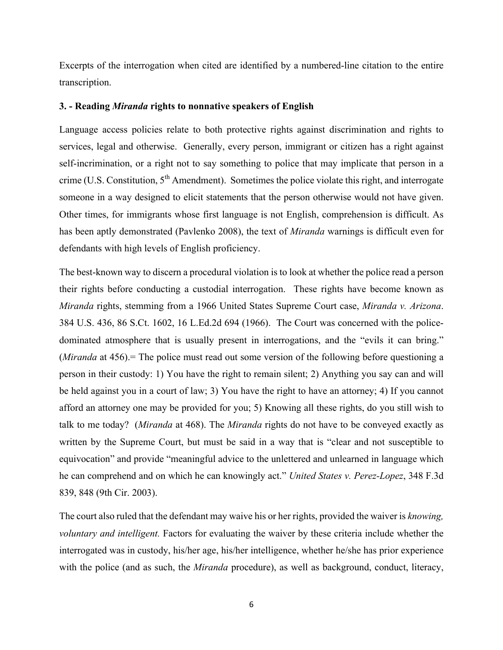Excerpts of the interrogation when cited are identified by a numbered-line citation to the entire transcription.

#### **3. - Reading** *Miranda* **rights to nonnative speakers of English**

Language access policies relate to both protective rights against discrimination and rights to services, legal and otherwise. Generally, every person, immigrant or citizen has a right against self-incrimination, or a right not to say something to police that may implicate that person in a crime (U.S. Constitution,  $5<sup>th</sup>$  Amendment). Sometimes the police violate this right, and interrogate someone in a way designed to elicit statements that the person otherwise would not have given. Other times, for immigrants whose first language is not English, comprehension is difficult. As has been aptly demonstrated (Pavlenko 2008), the text of *Miranda* warnings is difficult even for defendants with high levels of English proficiency.

The best-known way to discern a procedural violation is to look at whether the police read a person their rights before conducting a custodial interrogation. These rights have become known as *Miranda* rights, stemming from a 1966 United States Supreme Court case, *Miranda v. Arizona*. 384 U.S. 436, 86 S.Ct. 1602, 16 L.Ed.2d 694 (1966). The Court was concerned with the policedominated atmosphere that is usually present in interrogations, and the "evils it can bring." (*Miranda* at 456).= The police must read out some version of the following before questioning a person in their custody: 1) You have the right to remain silent; 2) Anything you say can and will be held against you in a court of law; 3) You have the right to have an attorney; 4) If you cannot afford an attorney one may be provided for you; 5) Knowing all these rights, do you still wish to talk to me today? (*Miranda* at 468). The *Miranda* rights do not have to be conveyed exactly as written by the Supreme Court, but must be said in a way that is "clear and not susceptible to equivocation" and provide "meaningful advice to the unlettered and unlearned in language which he can comprehend and on which he can knowingly act." *United States v. Perez-Lopez*, 348 F.3d 839, 848 (9th Cir. 2003).

The court also ruled that the defendant may waive his or her rights, provided the waiver is *knowing, voluntary and intelligent.* Factors for evaluating the waiver by these criteria include whether the interrogated was in custody, his/her age, his/her intelligence, whether he/she has prior experience with the police (and as such, the *Miranda* procedure), as well as background, conduct, literacy,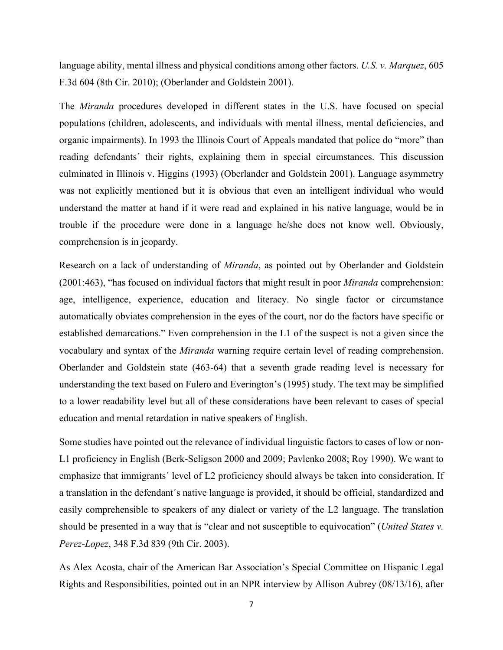language ability, mental illness and physical conditions among other factors. *U.S. v. Marquez*, 605 F.3d 604 (8th Cir. 2010); (Oberlander and Goldstein 2001).

The *Miranda* procedures developed in different states in the U.S. have focused on special populations (children, adolescents, and individuals with mental illness, mental deficiencies, and organic impairments). In 1993 the Illinois Court of Appeals mandated that police do "more" than reading defendants´ their rights, explaining them in special circumstances. This discussion culminated in Illinois v. Higgins (1993) (Oberlander and Goldstein 2001). Language asymmetry was not explicitly mentioned but it is obvious that even an intelligent individual who would understand the matter at hand if it were read and explained in his native language, would be in trouble if the procedure were done in a language he/she does not know well. Obviously, comprehension is in jeopardy.

Research on a lack of understanding of *Miranda*, as pointed out by Oberlander and Goldstein (2001:463), "has focused on individual factors that might result in poor *Miranda* comprehension: age, intelligence, experience, education and literacy. No single factor or circumstance automatically obviates comprehension in the eyes of the court, nor do the factors have specific or established demarcations." Even comprehension in the L1 of the suspect is not a given since the vocabulary and syntax of the *Miranda* warning require certain level of reading comprehension. Oberlander and Goldstein state (463-64) that a seventh grade reading level is necessary for understanding the text based on Fulero and Everington's (1995) study. The text may be simplified to a lower readability level but all of these considerations have been relevant to cases of special education and mental retardation in native speakers of English.

Some studies have pointed out the relevance of individual linguistic factors to cases of low or non-L1 proficiency in English (Berk-Seligson 2000 and 2009; Pavlenko 2008; Roy 1990). We want to emphasize that immigrants´ level of L2 proficiency should always be taken into consideration. If a translation in the defendant´s native language is provided, it should be official, standardized and easily comprehensible to speakers of any dialect or variety of the L2 language. The translation should be presented in a way that is "clear and not susceptible to equivocation" (*United States v. Perez-Lopez*, 348 F.3d 839 (9th Cir. 2003).

As Alex Acosta, chair of the American Bar Association's Special Committee on Hispanic Legal Rights and Responsibilities, pointed out in an NPR interview by Allison Aubrey (08/13/16), after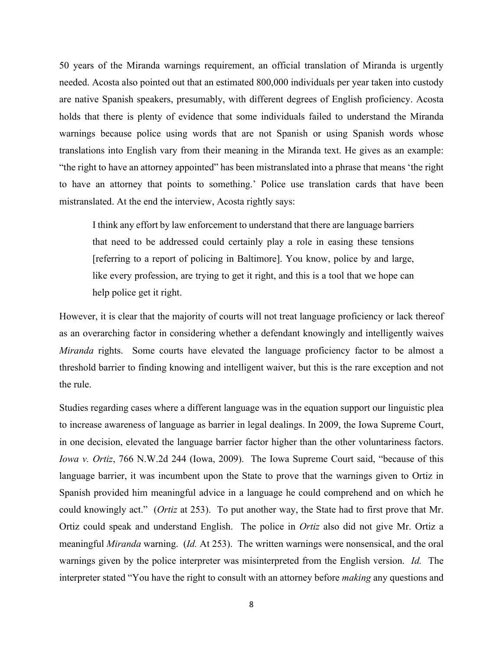50 years of the Miranda warnings requirement, an official translation of Miranda is urgently needed. Acosta also pointed out that an estimated 800,000 individuals per year taken into custody are native Spanish speakers, presumably, with different degrees of English proficiency. Acosta holds that there is plenty of evidence that some individuals failed to understand the Miranda warnings because police using words that are not Spanish or using Spanish words whose translations into English vary from their meaning in the Miranda text. He gives as an example: "the right to have an attorney appointed" has been mistranslated into a phrase that means 'the right to have an attorney that points to something.' Police use translation cards that have been mistranslated. At the end the interview, Acosta rightly says:

I think any effort by law enforcement to understand that there are language barriers that need to be addressed could certainly play a role in easing these tensions [referring to a report of policing in Baltimore]. You know, police by and large, like every profession, are trying to get it right, and this is a tool that we hope can help police get it right.

However, it is clear that the majority of courts will not treat language proficiency or lack thereof as an overarching factor in considering whether a defendant knowingly and intelligently waives *Miranda* rights. Some courts have elevated the language proficiency factor to be almost a threshold barrier to finding knowing and intelligent waiver, but this is the rare exception and not the rule.

Studies regarding cases where a different language was in the equation support our linguistic plea to increase awareness of language as barrier in legal dealings. In 2009, the Iowa Supreme Court, in one decision, elevated the language barrier factor higher than the other voluntariness factors. *Iowa v. Ortiz*, 766 N.W.2d 244 (Iowa, 2009). The Iowa Supreme Court said, "because of this language barrier, it was incumbent upon the State to prove that the warnings given to Ortiz in Spanish provided him meaningful advice in a language he could comprehend and on which he could knowingly act." (*Ortiz* at 253). To put another way, the State had to first prove that Mr. Ortiz could speak and understand English. The police in *Ortiz* also did not give Mr. Ortiz a meaningful *Miranda* warning. (*Id.* At 253). The written warnings were nonsensical, and the oral warnings given by the police interpreter was misinterpreted from the English version. *Id.* The interpreter stated "You have the right to consult with an attorney before *making* any questions and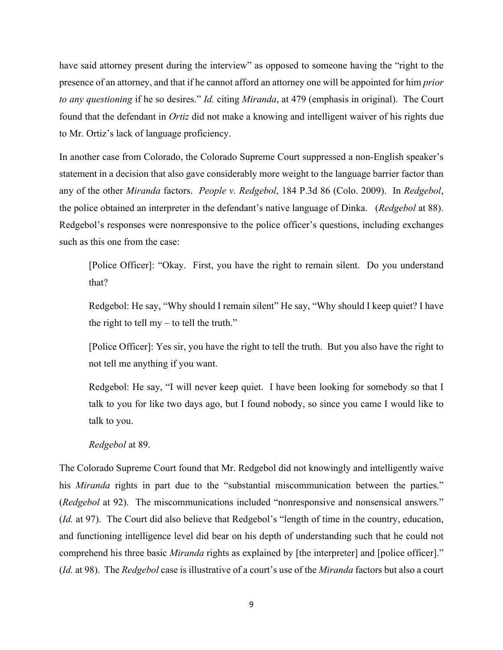have said attorney present during the interview" as opposed to someone having the "right to the presence of an attorney, and that if he cannot afford an attorney one will be appointed for him *prior to any questioning* if he so desires." *Id.* citing *Miranda*, at 479 (emphasis in original). The Court found that the defendant in *Ortiz* did not make a knowing and intelligent waiver of his rights due to Mr. Ortiz's lack of language proficiency.

In another case from Colorado, the Colorado Supreme Court suppressed a non-English speaker's statement in a decision that also gave considerably more weight to the language barrier factor than any of the other *Miranda* factors. *People v. Redgebol*, 184 P.3d 86 (Colo. 2009). In *Redgebol*, the police obtained an interpreter in the defendant's native language of Dinka. (*Redgebol* at 88). Redgebol's responses were nonresponsive to the police officer's questions, including exchanges such as this one from the case:

[Police Officer]: "Okay. First, you have the right to remain silent. Do you understand that?

Redgebol: He say, "Why should I remain silent" He say, "Why should I keep quiet? I have the right to tell my  $-$  to tell the truth."

[Police Officer]: Yes sir, you have the right to tell the truth. But you also have the right to not tell me anything if you want.

Redgebol: He say, "I will never keep quiet. I have been looking for somebody so that I talk to you for like two days ago, but I found nobody, so since you came I would like to talk to you.

#### *Redgebol* at 89.

The Colorado Supreme Court found that Mr. Redgebol did not knowingly and intelligently waive his *Miranda* rights in part due to the "substantial miscommunication between the parties." (*Redgebol* at 92). The miscommunications included "nonresponsive and nonsensical answers." (*Id.* at 97). The Court did also believe that Redgebol's "length of time in the country, education, and functioning intelligence level did bear on his depth of understanding such that he could not comprehend his three basic *Miranda* rights as explained by [the interpreter] and [police officer]." (*Id.* at 98). The *Redgebol* case is illustrative of a court's use of the *Miranda* factors but also a court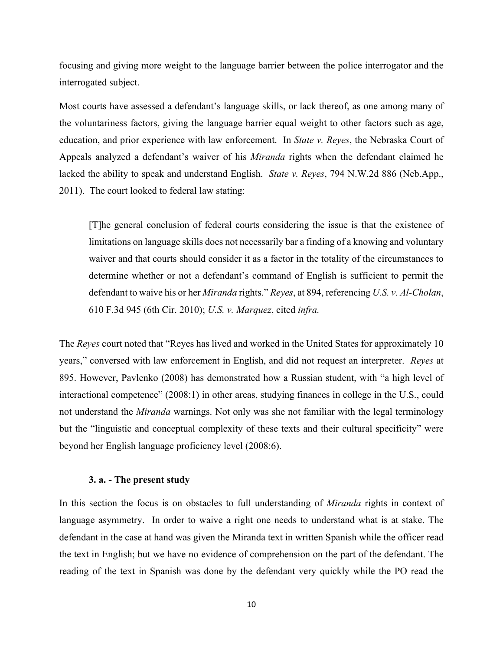focusing and giving more weight to the language barrier between the police interrogator and the interrogated subject.

Most courts have assessed a defendant's language skills, or lack thereof, as one among many of the voluntariness factors, giving the language barrier equal weight to other factors such as age, education, and prior experience with law enforcement. In *State v. Reyes*, the Nebraska Court of Appeals analyzed a defendant's waiver of his *Miranda* rights when the defendant claimed he lacked the ability to speak and understand English. *State v. Reyes*, 794 N.W.2d 886 (Neb.App., 2011). The court looked to federal law stating:

[T]he general conclusion of federal courts considering the issue is that the existence of limitations on language skills does not necessarily bar a finding of a knowing and voluntary waiver and that courts should consider it as a factor in the totality of the circumstances to determine whether or not a defendant's command of English is sufficient to permit the defendant to waive his or her *Miranda* rights." *Reyes*, at 894, referencing *U.S. v. Al-Cholan*, 610 F.3d 945 (6th Cir. 2010); *U.S. v. Marquez*, cited *infra.*

The *Reyes* court noted that "Reyes has lived and worked in the United States for approximately 10 years," conversed with law enforcement in English, and did not request an interpreter. *Reyes* at 895. However, Pavlenko (2008) has demonstrated how a Russian student, with "a high level of interactional competence" (2008:1) in other areas, studying finances in college in the U.S., could not understand the *Miranda* warnings. Not only was she not familiar with the legal terminology but the "linguistic and conceptual complexity of these texts and their cultural specificity" were beyond her English language proficiency level (2008:6).

#### **3. a. - The present study**

In this section the focus is on obstacles to full understanding of *Miranda* rights in context of language asymmetry. In order to waive a right one needs to understand what is at stake. The defendant in the case at hand was given the Miranda text in written Spanish while the officer read the text in English; but we have no evidence of comprehension on the part of the defendant. The reading of the text in Spanish was done by the defendant very quickly while the PO read the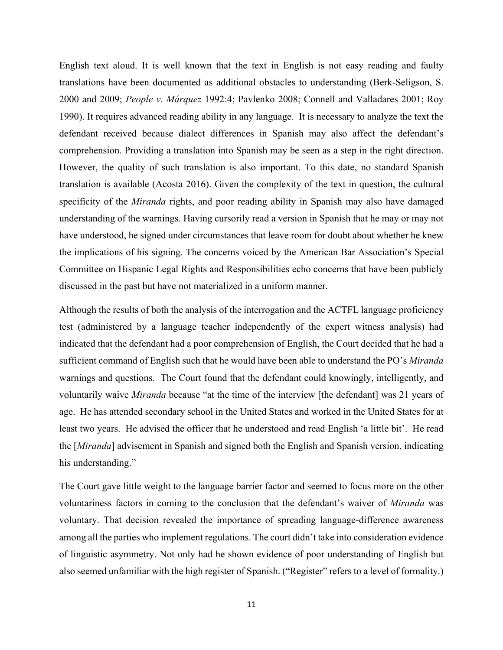English text aloud. It is well known that the text in English is not easy reading and faulty translations have been documented as additional obstacles to understanding (Berk-Seligson, S. 2000 and 2009; *People v. Márquez* 1992:4; Pavlenko 2008; Connell and Valladares 2001; Roy 1990). It requires advanced reading ability in any language. It is necessary to analyze the text the defendant received because dialect differences in Spanish may also affect the defendant's comprehension. Providing a translation into Spanish may be seen as a step in the right direction. However, the quality of such translation is also important. To this date, no standard Spanish translation is available (Acosta 2016). Given the complexity of the text in question, the cultural specificity of the *Miranda* rights, and poor reading ability in Spanish may also have damaged understanding of the warnings. Having cursorily read a version in Spanish that he may or may not have understood, he signed under circumstances that leave room for doubt about whether he knew the implications of his signing. The concerns voiced by the American Bar Association's Special Committee on Hispanic Legal Rights and Responsibilities echo concerns that have been publicly discussed in the past but have not materialized in a uniform manner.

Although the results of both the analysis of the interrogation and the ACTFL language proficiency test (administered by a language teacher independently of the expert witness analysis) had indicated that the defendant had a poor comprehension of English, the Court decided that he had a sufficient command of English such that he would have been able to understand the PO's *Miranda* warnings and questions. The Court found that the defendant could knowingly, intelligently, and voluntarily waive *Miranda* because "at the time of the interview [the defendant] was 21 years of age. He has attended secondary school in the United States and worked in the United States for at least two years. He advised the officer that he understood and read English 'a little bit'. He read the [*Miranda*] advisement in Spanish and signed both the English and Spanish version, indicating his understanding."

The Court gave little weight to the language barrier factor and seemed to focus more on the other voluntariness factors in coming to the conclusion that the defendant's waiver of *Miranda* was voluntary. That decision revealed the importance of spreading language-difference awareness among all the parties who implement regulations. The court didn't take into consideration evidence of linguistic asymmetry. Not only had he shown evidence of poor understanding of English but also seemed unfamiliar with the high register of Spanish. ("Register" refers to a level of formality.)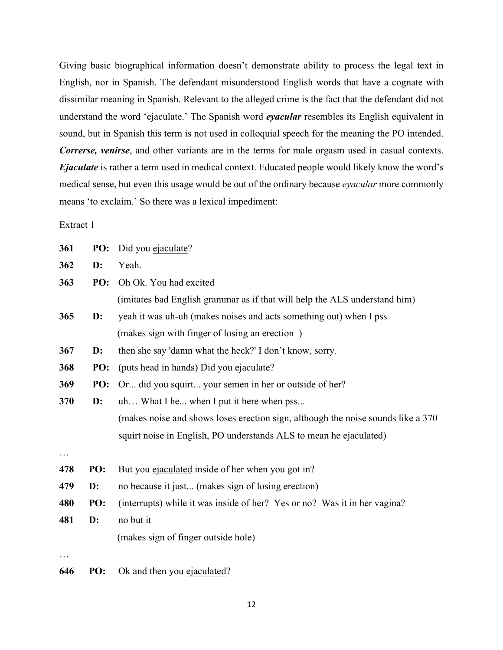Giving basic biographical information doesn't demonstrate ability to process the legal text in English, nor in Spanish. The defendant misunderstood English words that have a cognate with dissimilar meaning in Spanish. Relevant to the alleged crime is the fact that the defendant did not understand the word 'ejaculate.' The Spanish word *eyacular* resembles its English equivalent in sound, but in Spanish this term is not used in colloquial speech for the meaning the PO intended. *Correrse, venirse*, and other variants are in the terms for male orgasm used in casual contexts. *Ejaculate* is rather a term used in medical context. Educated people would likely know the word's medical sense, but even this usage would be out of the ordinary because *eyacular* more commonly means 'to exclaim.' So there was a lexical impediment:

Extract 1

| PO:            | Did you ejaculate?                                                               |  |
|----------------|----------------------------------------------------------------------------------|--|
| $\mathbf{D}$ : | Yeah.                                                                            |  |
| PO:            | Oh Ok. You had excited                                                           |  |
|                | (imitates bad English grammar as if that will help the ALS understand him)       |  |
| $\mathbf{D}$ : | yeah it was uh-uh (makes noises and acts something out) when I pss               |  |
|                | (makes sign with finger of losing an erection)                                   |  |
| $\mathbf{D}$ : | then she say 'damn what the heck?' I don't know, sorry.                          |  |
| PO:            | (puts head in hands) Did you ejaculate?                                          |  |
| PO:            | Or did you squirt your semen in her or outside of her?                           |  |
| $\mathbf{D}$ : | uh What I he when I put it here when pss                                         |  |
|                | (makes noise and shows loses erection sign, although the noise sounds like a 370 |  |
|                | squirt noise in English, PO understands ALS to mean he ejaculated)               |  |
| PO:            | But you ejaculated inside of her when you got in?                                |  |
| $\mathbf{D}$ : | no because it just (makes sign of losing erection)                               |  |
| PO:            | (interrupts) while it was inside of her? Yes or no? Was it in her vagina?        |  |
| $\mathbf{D}$ : | no but it                                                                        |  |
|                | (makes sign of finger outside hole)                                              |  |
|                |                                                                                  |  |
|                |                                                                                  |  |

**646 PO:** Ok and then you ejaculated?

12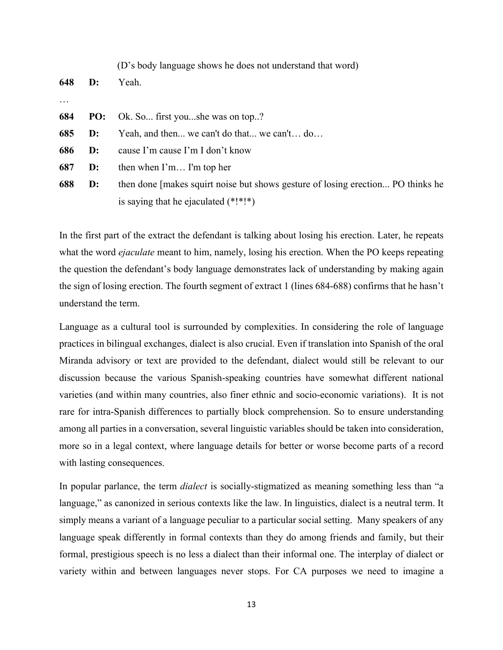|          |     | (D's body language shows he does not understand that word)                      |  |
|----------|-----|---------------------------------------------------------------------------------|--|
| 648      | D:  | Yeah.                                                                           |  |
| $\ddots$ |     |                                                                                 |  |
| 684      | PO: | Ok. So first youshe was on top?                                                 |  |
| 685      | D:  | Yeah, and then we can't do that we can't do                                     |  |
| 686      | D:  | cause I'm cause I'm I don't know                                                |  |
| 687      | D:  | then when $\Gamma$ m I'm top her                                                |  |
| 688      | D:  | then done [makes squirt noise but shows gesture of losing erection PO thinks he |  |
|          |     | is saying that he ejaculated $(*!*!*)$                                          |  |
|          |     |                                                                                 |  |

In the first part of the extract the defendant is talking about losing his erection. Later, he repeats what the word *ejaculate* meant to him, namely, losing his erection. When the PO keeps repeating the question the defendant's body language demonstrates lack of understanding by making again the sign of losing erection. The fourth segment of extract 1 (lines 684-688) confirms that he hasn't understand the term.

Language as a cultural tool is surrounded by complexities. In considering the role of language practices in bilingual exchanges, dialect is also crucial. Even if translation into Spanish of the oral Miranda advisory or text are provided to the defendant, dialect would still be relevant to our discussion because the various Spanish-speaking countries have somewhat different national varieties (and within many countries, also finer ethnic and socio-economic variations). It is not rare for intra-Spanish differences to partially block comprehension. So to ensure understanding among all parties in a conversation, several linguistic variables should be taken into consideration, more so in a legal context, where language details for better or worse become parts of a record with lasting consequences.

In popular parlance, the term *dialect* is socially-stigmatized as meaning something less than "a language," as canonized in serious contexts like the law. In linguistics, dialect is a neutral term. It simply means a variant of a language peculiar to a particular social setting. Many speakers of any language speak differently in formal contexts than they do among friends and family, but their formal, prestigious speech is no less a dialect than their informal one. The interplay of dialect or variety within and between languages never stops. For CA purposes we need to imagine a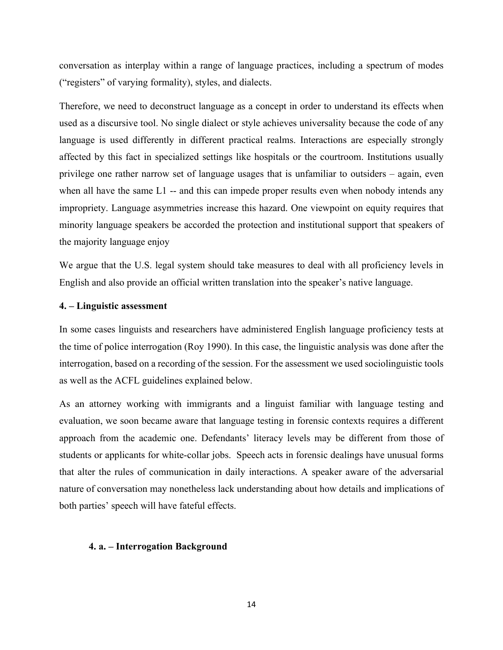conversation as interplay within a range of language practices, including a spectrum of modes ("registers" of varying formality), styles, and dialects.

Therefore, we need to deconstruct language as a concept in order to understand its effects when used as a discursive tool. No single dialect or style achieves universality because the code of any language is used differently in different practical realms. Interactions are especially strongly affected by this fact in specialized settings like hospitals or the courtroom. Institutions usually privilege one rather narrow set of language usages that is unfamiliar to outsiders – again, even when all have the same L1 -- and this can impede proper results even when nobody intends any impropriety. Language asymmetries increase this hazard. One viewpoint on equity requires that minority language speakers be accorded the protection and institutional support that speakers of the majority language enjoy

We argue that the U.S. legal system should take measures to deal with all proficiency levels in English and also provide an official written translation into the speaker's native language.

#### **4. – Linguistic assessment**

In some cases linguists and researchers have administered English language proficiency tests at the time of police interrogation (Roy 1990). In this case, the linguistic analysis was done after the interrogation, based on a recording of the session. For the assessment we used sociolinguistic tools as well as the ACFL guidelines explained below.

As an attorney working with immigrants and a linguist familiar with language testing and evaluation, we soon became aware that language testing in forensic contexts requires a different approach from the academic one. Defendants' literacy levels may be different from those of students or applicants for white-collar jobs. Speech acts in forensic dealings have unusual forms that alter the rules of communication in daily interactions. A speaker aware of the adversarial nature of conversation may nonetheless lack understanding about how details and implications of both parties' speech will have fateful effects.

#### **4. a. – Interrogation Background**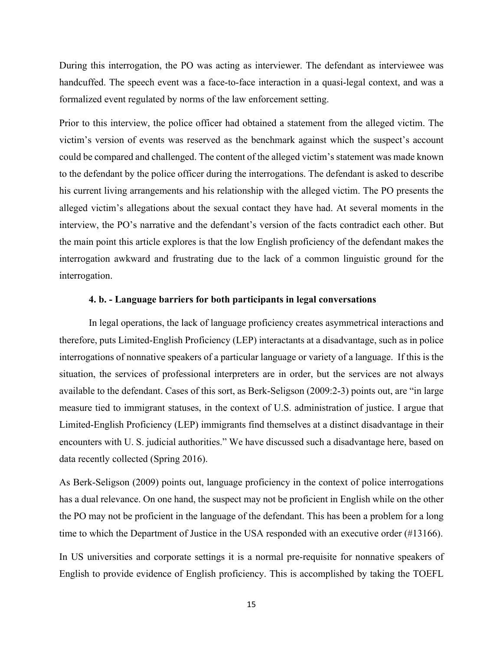During this interrogation, the PO was acting as interviewer. The defendant as interviewee was handcuffed. The speech event was a face-to-face interaction in a quasi-legal context, and was a formalized event regulated by norms of the law enforcement setting.

Prior to this interview, the police officer had obtained a statement from the alleged victim. The victim's version of events was reserved as the benchmark against which the suspect's account could be compared and challenged. The content of the alleged victim's statement was made known to the defendant by the police officer during the interrogations. The defendant is asked to describe his current living arrangements and his relationship with the alleged victim. The PO presents the alleged victim's allegations about the sexual contact they have had. At several moments in the interview, the PO's narrative and the defendant's version of the facts contradict each other. But the main point this article explores is that the low English proficiency of the defendant makes the interrogation awkward and frustrating due to the lack of a common linguistic ground for the interrogation.

#### **4. b. - Language barriers for both participants in legal conversations**

In legal operations, the lack of language proficiency creates asymmetrical interactions and therefore, puts Limited-English Proficiency (LEP) interactants at a disadvantage, such as in police interrogations of nonnative speakers of a particular language or variety of a language. If this is the situation, the services of professional interpreters are in order, but the services are not always available to the defendant. Cases of this sort, as Berk-Seligson (2009:2-3) points out, are "in large measure tied to immigrant statuses, in the context of U.S. administration of justice. I argue that Limited-English Proficiency (LEP) immigrants find themselves at a distinct disadvantage in their encounters with U. S. judicial authorities." We have discussed such a disadvantage here, based on data recently collected (Spring 2016).

As Berk-Seligson (2009) points out, language proficiency in the context of police interrogations has a dual relevance. On one hand, the suspect may not be proficient in English while on the other the PO may not be proficient in the language of the defendant. This has been a problem for a long time to which the Department of Justice in the USA responded with an executive order (#13166).

In US universities and corporate settings it is a normal pre-requisite for nonnative speakers of English to provide evidence of English proficiency. This is accomplished by taking the TOEFL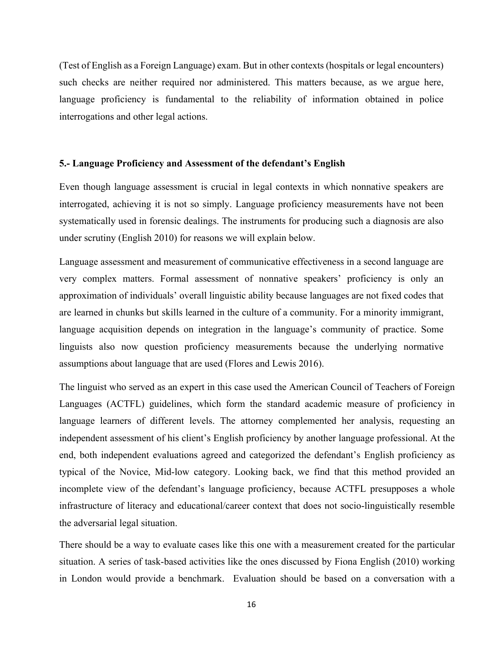(Test of English as a Foreign Language) exam. But in other contexts (hospitals or legal encounters) such checks are neither required nor administered. This matters because, as we argue here, language proficiency is fundamental to the reliability of information obtained in police interrogations and other legal actions.

#### **5.- Language Proficiency and Assessment of the defendant's English**

Even though language assessment is crucial in legal contexts in which nonnative speakers are interrogated, achieving it is not so simply. Language proficiency measurements have not been systematically used in forensic dealings. The instruments for producing such a diagnosis are also under scrutiny (English 2010) for reasons we will explain below.

Language assessment and measurement of communicative effectiveness in a second language are very complex matters. Formal assessment of nonnative speakers' proficiency is only an approximation of individuals' overall linguistic ability because languages are not fixed codes that are learned in chunks but skills learned in the culture of a community. For a minority immigrant, language acquisition depends on integration in the language's community of practice. Some linguists also now question proficiency measurements because the underlying normative assumptions about language that are used (Flores and Lewis 2016).

The linguist who served as an expert in this case used the American Council of Teachers of Foreign Languages (ACTFL) guidelines, which form the standard academic measure of proficiency in language learners of different levels. The attorney complemented her analysis, requesting an independent assessment of his client's English proficiency by another language professional. At the end, both independent evaluations agreed and categorized the defendant's English proficiency as typical of the Novice, Mid-low category. Looking back, we find that this method provided an incomplete view of the defendant's language proficiency, because ACTFL presupposes a whole infrastructure of literacy and educational/career context that does not socio-linguistically resemble the adversarial legal situation.

There should be a way to evaluate cases like this one with a measurement created for the particular situation. A series of task-based activities like the ones discussed by Fiona English (2010) working in London would provide a benchmark. Evaluation should be based on a conversation with a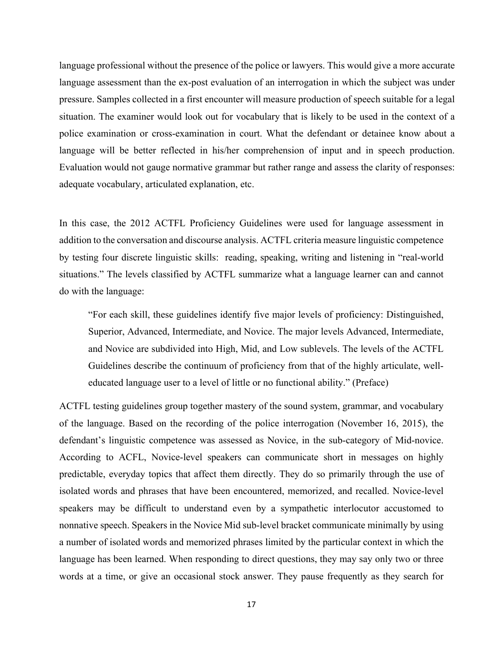language professional without the presence of the police or lawyers. This would give a more accurate language assessment than the ex-post evaluation of an interrogation in which the subject was under pressure. Samples collected in a first encounter will measure production of speech suitable for a legal situation. The examiner would look out for vocabulary that is likely to be used in the context of a police examination or cross-examination in court. What the defendant or detainee know about a language will be better reflected in his/her comprehension of input and in speech production. Evaluation would not gauge normative grammar but rather range and assess the clarity of responses: adequate vocabulary, articulated explanation, etc.

In this case, the 2012 ACTFL Proficiency Guidelines were used for language assessment in addition to the conversation and discourse analysis. ACTFL criteria measure linguistic competence by testing four discrete linguistic skills: reading, speaking, writing and listening in "real-world situations." The levels classified by ACTFL summarize what a language learner can and cannot do with the language:

"For each skill, these guidelines identify five major levels of proficiency: Distinguished, Superior, Advanced, Intermediate, and Novice. The major levels Advanced, Intermediate, and Novice are subdivided into High, Mid, and Low sublevels. The levels of the ACTFL Guidelines describe the continuum of proficiency from that of the highly articulate, welleducated language user to a level of little or no functional ability." (Preface)

ACTFL testing guidelines group together mastery of the sound system, grammar, and vocabulary of the language. Based on the recording of the police interrogation (November 16, 2015), the defendant's linguistic competence was assessed as Novice, in the sub-category of Mid-novice. According to ACFL, Novice-level speakers can communicate short in messages on highly predictable, everyday topics that affect them directly. They do so primarily through the use of isolated words and phrases that have been encountered, memorized, and recalled. Novice-level speakers may be difficult to understand even by a sympathetic interlocutor accustomed to nonnative speech. Speakers in the Novice Mid sub-level bracket communicate minimally by using a number of isolated words and memorized phrases limited by the particular context in which the language has been learned. When responding to direct questions, they may say only two or three words at a time, or give an occasional stock answer. They pause frequently as they search for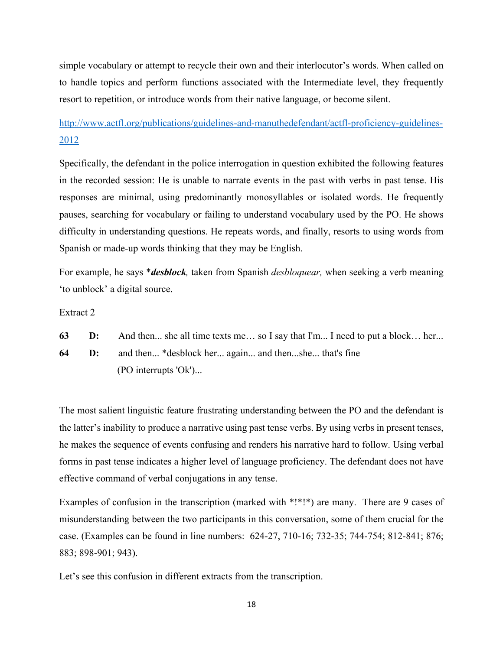simple vocabulary or attempt to recycle their own and their interlocutor's words. When called on to handle topics and perform functions associated with the Intermediate level, they frequently resort to repetition, or introduce words from their native language, or become silent.

# http://www.actfl.org/publications/guidelines-and-manuthedefendant/actfl-proficiency-guidelines-2012

Specifically, the defendant in the police interrogation in question exhibited the following features in the recorded session: He is unable to narrate events in the past with verbs in past tense. His responses are minimal, using predominantly monosyllables or isolated words. He frequently pauses, searching for vocabulary or failing to understand vocabulary used by the PO. He shows difficulty in understanding questions. He repeats words, and finally, resorts to using words from Spanish or made-up words thinking that they may be English.

For example, he says \**desblock,* taken from Spanish *desbloquear,* when seeking a verb meaning 'to unblock' a digital source.

Extract 2

**63 D:** And then... she all time texts me... so I say that I'm... I need to put a block... her...

**64 D:** and then... \*desblock her... again... and then...she... that's fine (PO interrupts 'Ok')...

The most salient linguistic feature frustrating understanding between the PO and the defendant is the latter's inability to produce a narrative using past tense verbs. By using verbs in present tenses, he makes the sequence of events confusing and renders his narrative hard to follow. Using verbal forms in past tense indicates a higher level of language proficiency. The defendant does not have effective command of verbal conjugations in any tense.

Examples of confusion in the transcription (marked with \*!\*!\*) are many. There are 9 cases of misunderstanding between the two participants in this conversation, some of them crucial for the case. (Examples can be found in line numbers: 624-27, 710-16; 732-35; 744-754; 812-841; 876; 883; 898-901; 943).

Let's see this confusion in different extracts from the transcription.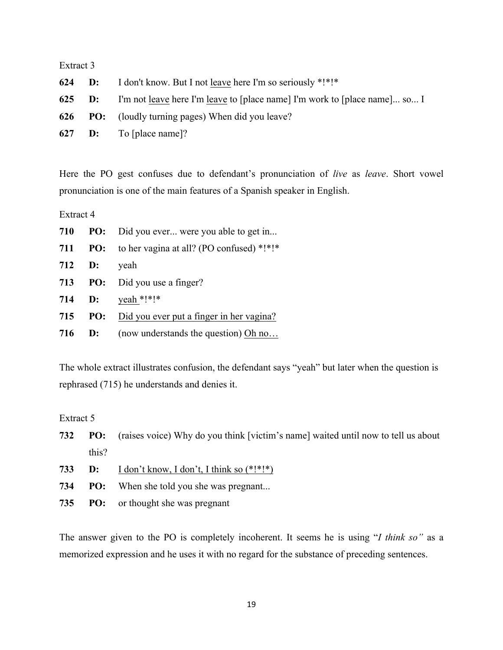## Extract 3

| 624 | <b>D:</b> I don't know. But I not leave here I'm so seriously *!*!*                      |
|-----|------------------------------------------------------------------------------------------|
|     | <b>625 D:</b> I'm not leave here I'm leave to [place name] I'm work to [place name] so I |
|     | <b>626</b> PO: (loudly turning pages) When did you leave?                                |
|     | 627 <b>D:</b> To [place name]?                                                           |

Here the PO gest confuses due to defendant's pronunciation of *live* as *leave*. Short vowel pronunciation is one of the main features of a Spanish speaker in English.

Extract 4

| 710 |        | <b>PO:</b> Did you ever were you able to get in      |
|-----|--------|------------------------------------------------------|
| 711 |        | <b>PO:</b> to her vagina at all? (PO confused) *!*!* |
|     | 712 D: | veah                                                 |
| 713 |        | <b>PO:</b> Did you use a finger?                     |
|     | 714 D: | yeah *!*!*                                           |
| 715 |        | <b>PO:</b> Did you ever put a finger in her vagina?  |
|     |        | <b>716 D:</b> (now understands the question) Oh no   |

The whole extract illustrates confusion, the defendant says "yeah" but later when the question is rephrased (715) he understands and denies it.

Extract 5

| 732 |       | <b>PO:</b> (raises voice) Why do you think [victim's name] waited until now to tell us about |
|-----|-------|----------------------------------------------------------------------------------------------|
|     | this? |                                                                                              |

- **D:** I don't know, I don't, I think so (\*!\*!\*)
- **PO:** When she told you she was pregnant...
- **PO:** or thought she was pregnant

The answer given to the PO is completely incoherent. It seems he is using "*I think so"* as a memorized expression and he uses it with no regard for the substance of preceding sentences.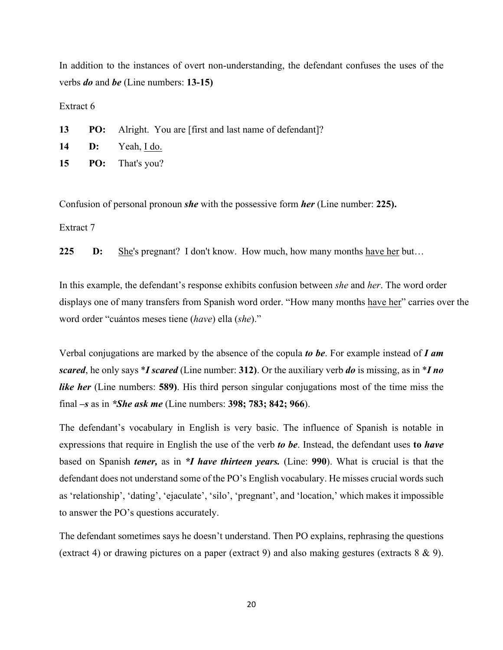In addition to the instances of overt non-understanding, the defendant confuses the uses of the verbs *do* and *be* (Line numbers: **13-15)**

Extract 6

**13 PO:** Alright. You are [first and last name of defendant]?

- **14 D:** Yeah, I do.
- **15 PO:** That's you?

Confusion of personal pronoun *she* with the possessive form *her* (Line number: **225).**

Extract 7

**225 D:** She's pregnant? I don't know. How much, how many months have her but…

In this example, the defendant's response exhibits confusion between *she* and *her*. The word order displays one of many transfers from Spanish word order. "How many months have her" carries over the word order "cuántos meses tiene (*have*) ella (*she*)."

Verbal conjugations are marked by the absence of the copula *to be*. For example instead of *I am scared*, he only says \**I scared* (Line number: **312)**. Or the auxiliary verb *do* is missing, as in \**I no like her* (Line numbers: **589)**. His third person singular conjugations most of the time miss the final *–s* as in *\*She ask me* (Line numbers: **398; 783; 842; 966**).

The defendant's vocabulary in English is very basic. The influence of Spanish is notable in expressions that require in English the use of the verb *to be*. Instead, the defendant uses **to** *have* based on Spanish *tener,* as in *\*I have thirteen years.* (Line: **990**). What is crucial is that the defendant does not understand some of the PO's English vocabulary. He misses crucial words such as 'relationship', 'dating', 'ejaculate', 'silo', 'pregnant', and 'location,' which makes it impossible to answer the PO's questions accurately.

The defendant sometimes says he doesn't understand. Then PO explains, rephrasing the questions (extract 4) or drawing pictures on a paper (extract 9) and also making gestures (extracts 8 & 9).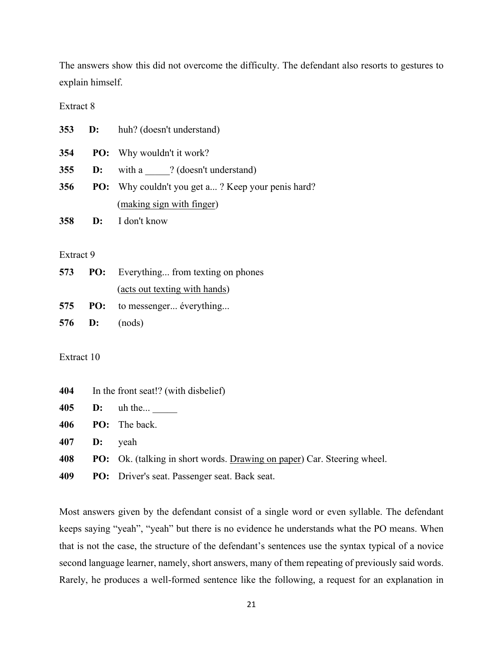The answers show this did not overcome the difficulty. The defendant also resorts to gestures to explain himself.

Extract 8

|     | 353 D: | huh? (doesn't understand)                                |
|-----|--------|----------------------------------------------------------|
| 354 |        | <b>PO:</b> Why wouldn't it work?                         |
| 355 | D:     | with a ? (doesn't understand)                            |
| 356 |        | <b>PO:</b> Why couldn't you get a? Keep your penis hard? |
|     |        | (making sign with finger)                                |
| 358 |        | <b>D:</b> I don't know                                   |

#### Extract 9

|  | <b>573</b> PO: Everything from texting on phones |
|--|--------------------------------------------------|
|  | (acts out texting with hands)                    |
|  | 575 PO: to messenger éverything                  |
|  | 576 <b>D</b> : $(nods)$                          |

Extract 10

| In the front seat!? (with disbelief) |
|--------------------------------------|

**405 D:** uh the... \_\_\_\_\_

**406 PO:** The back.

**407 D:** yeah

**408 PO:** Ok. (talking in short words. Drawing on paper) Car. Steering wheel.

**409 PO:** Driver's seat. Passenger seat. Back seat.

Most answers given by the defendant consist of a single word or even syllable. The defendant keeps saying "yeah", "yeah" but there is no evidence he understands what the PO means. When that is not the case, the structure of the defendant's sentences use the syntax typical of a novice second language learner, namely, short answers, many of them repeating of previously said words. Rarely, he produces a well-formed sentence like the following, a request for an explanation in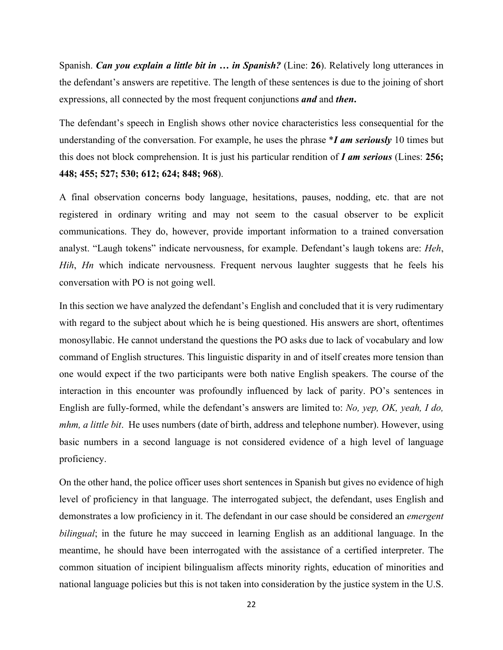Spanish. *Can you explain a little bit in … in Spanish?* (Line: **26**). Relatively long utterances in the defendant's answers are repetitive. The length of these sentences is due to the joining of short expressions, all connected by the most frequent conjunctions *and* and *then***.**

The defendant's speech in English shows other novice characteristics less consequential for the understanding of the conversation. For example, he uses the phrase \**I am seriously* 10 times but this does not block comprehension. It is just his particular rendition of *I am serious* (Lines: **256; 448; 455; 527; 530; 612; 624; 848; 968**).

A final observation concerns body language, hesitations, pauses, nodding, etc. that are not registered in ordinary writing and may not seem to the casual observer to be explicit communications. They do, however, provide important information to a trained conversation analyst. "Laugh tokens" indicate nervousness, for example. Defendant's laugh tokens are: *Heh*, *Hih*, *Hn* which indicate nervousness. Frequent nervous laughter suggests that he feels his conversation with PO is not going well.

In this section we have analyzed the defendant's English and concluded that it is very rudimentary with regard to the subject about which he is being questioned. His answers are short, oftentimes monosyllabic. He cannot understand the questions the PO asks due to lack of vocabulary and low command of English structures. This linguistic disparity in and of itself creates more tension than one would expect if the two participants were both native English speakers. The course of the interaction in this encounter was profoundly influenced by lack of parity. PO's sentences in English are fully-formed, while the defendant's answers are limited to: *No, yep, OK, yeah, I do, mhm, a little bit*. He uses numbers (date of birth, address and telephone number). However, using basic numbers in a second language is not considered evidence of a high level of language proficiency.

On the other hand, the police officer uses short sentences in Spanish but gives no evidence of high level of proficiency in that language. The interrogated subject, the defendant, uses English and demonstrates a low proficiency in it. The defendant in our case should be considered an *emergent bilingual*; in the future he may succeed in learning English as an additional language. In the meantime, he should have been interrogated with the assistance of a certified interpreter. The common situation of incipient bilingualism affects minority rights, education of minorities and national language policies but this is not taken into consideration by the justice system in the U.S.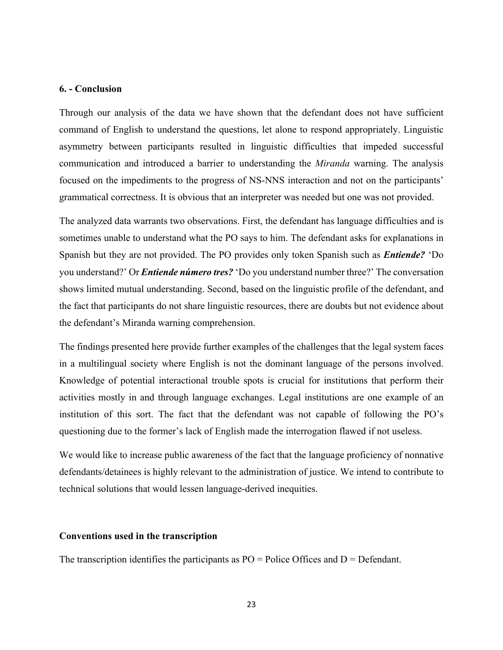#### **6. - Conclusion**

Through our analysis of the data we have shown that the defendant does not have sufficient command of English to understand the questions, let alone to respond appropriately. Linguistic asymmetry between participants resulted in linguistic difficulties that impeded successful communication and introduced a barrier to understanding the *Miranda* warning. The analysis focused on the impediments to the progress of NS-NNS interaction and not on the participants' grammatical correctness. It is obvious that an interpreter was needed but one was not provided.

The analyzed data warrants two observations. First, the defendant has language difficulties and is sometimes unable to understand what the PO says to him. The defendant asks for explanations in Spanish but they are not provided. The PO provides only token Spanish such as *Entiende?* 'Do you understand?' Or *Entiende número tres?* 'Do you understand number three?' The conversation shows limited mutual understanding. Second, based on the linguistic profile of the defendant, and the fact that participants do not share linguistic resources, there are doubts but not evidence about the defendant's Miranda warning comprehension.

The findings presented here provide further examples of the challenges that the legal system faces in a multilingual society where English is not the dominant language of the persons involved. Knowledge of potential interactional trouble spots is crucial for institutions that perform their activities mostly in and through language exchanges. Legal institutions are one example of an institution of this sort. The fact that the defendant was not capable of following the PO's questioning due to the former's lack of English made the interrogation flawed if not useless.

We would like to increase public awareness of the fact that the language proficiency of nonnative defendants/detainees is highly relevant to the administration of justice. We intend to contribute to technical solutions that would lessen language-derived inequities.

#### **Conventions used in the transcription**

The transcription identifies the participants as  $PO =$  Police Offices and  $D =$  Defendant.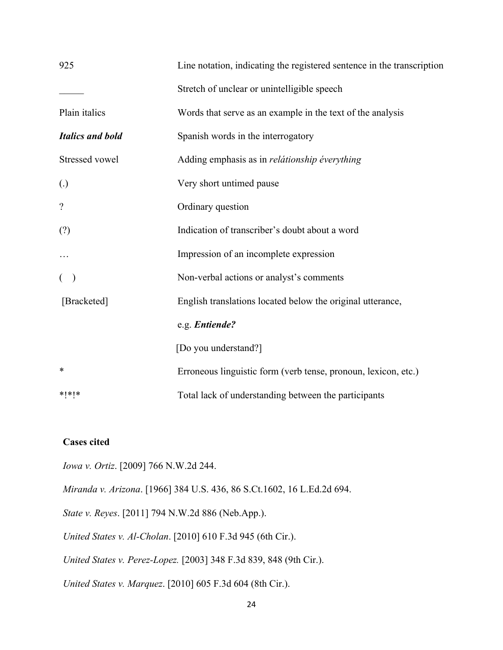| 925                      | Line notation, indicating the registered sentence in the transcription |
|--------------------------|------------------------------------------------------------------------|
|                          | Stretch of unclear or unintelligible speech                            |
| Plain italics            | Words that serve as an example in the text of the analysis             |
| <b>Italics and bold</b>  | Spanish words in the interrogatory                                     |
| Stressed vowel           | Adding emphasis as in relátionship éverything                          |
| (.)                      | Very short untimed pause                                               |
| $\overline{\mathcal{L}}$ | Ordinary question                                                      |
| (?)                      | Indication of transcriber's doubt about a word                         |
|                          | Impression of an incomplete expression                                 |
| $($ )                    | Non-verbal actions or analyst's comments                               |
| [Bracketed]              | English translations located below the original utterance,             |
|                          | e.g. Entiende?                                                         |
|                          | [Do you understand?]                                                   |
| ∗                        | Erroneous linguistic form (verb tense, pronoun, lexicon, etc.)         |
| $*$ $*$ $*$              | Total lack of understanding between the participants                   |

# **Cases cited**

*Iowa v. Ortiz*. [2009] 766 N.W.2d 244.

*Miranda v. Arizona*. [1966] 384 U.S. 436, 86 S.Ct.1602, 16 L.Ed.2d 694.

*State v. Reyes*. [2011] 794 N.W.2d 886 (Neb.App.).

*United States v. Al-Cholan*. [2010] 610 F.3d 945 (6th Cir.).

*United States v. Perez-Lopez.* [2003] 348 F.3d 839, 848 (9th Cir.).

*United States v. Marquez*. [2010] 605 F.3d 604 (8th Cir.).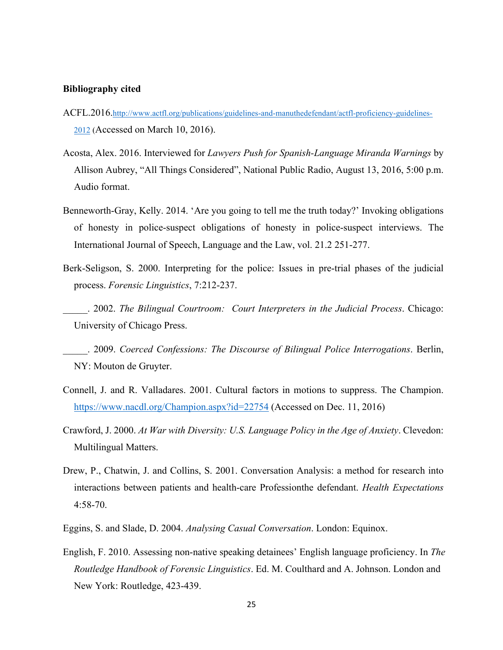#### **Bibliography cited**

- ACFL.2016.http://www.actfl.org/publications/guidelines-and-manuthedefendant/actfl-proficiency-guidelines-2012 (Accessed on March 10, 2016).
- Acosta, Alex. 2016. Interviewed for *Lawyers Push for Spanish-Language Miranda Warnings* by Allison Aubrey, "All Things Considered", National Public Radio, August 13, 2016, 5:00 p.m. Audio format.
- Benneworth-Gray, Kelly. 2014. 'Are you going to tell me the truth today?' Invoking obligations of honesty in police-suspect obligations of honesty in police-suspect interviews. The International Journal of Speech, Language and the Law, vol. 21.2 251-277.
- Berk-Seligson, S. 2000. Interpreting for the police: Issues in pre-trial phases of the judicial process. *Forensic Linguistics*, 7:212-237.
	- \_\_\_\_\_. 2002. *The Bilingual Courtroom: Court Interpreters in the Judicial Process*. Chicago: University of Chicago Press.

\_\_\_\_\_. 2009. *Coerced Confessions: The Discourse of Bilingual Police Interrogations*. Berlin, NY: Mouton de Gruyter.

- Connell, J. and R. Valladares. 2001. Cultural factors in motions to suppress. The Champion. https://www.nacdl.org/Champion.aspx?id=22754 (Accessed on Dec. 11, 2016)
- Crawford, J. 2000. *At War with Diversity: U.S. Language Policy in the Age of Anxiety*. Clevedon: Multilingual Matters.
- Drew, P., Chatwin, J. and Collins, S. 2001. Conversation Analysis: a method for research into interactions between patients and health-care Professionthe defendant. *Health Expectations* 4:58-70.
- Eggins, S. and Slade, D. 2004. *Analysing Casual Conversation*. London: Equinox.
- English, F. 2010. Assessing non-native speaking detainees' English language proficiency. In *The Routledge Handbook of Forensic Linguistics*. Ed. M. Coulthard and A. Johnson. London and New York: Routledge, 423-439.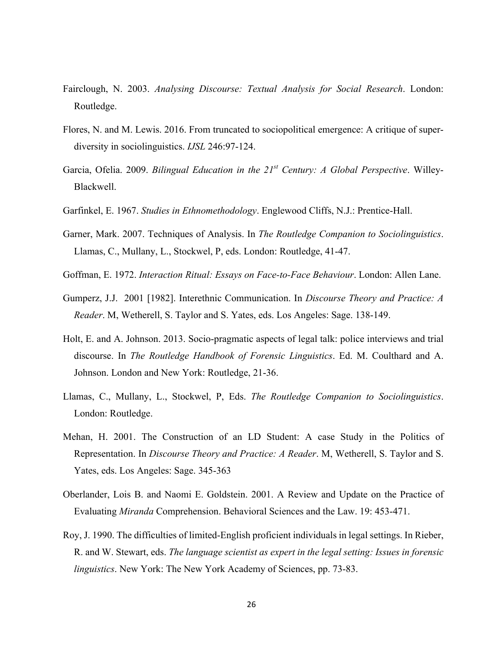- Fairclough, N. 2003. *Analysing Discourse: Textual Analysis for Social Research*. London: Routledge.
- Flores, N. and M. Lewis. 2016. From truncated to sociopolitical emergence: A critique of superdiversity in sociolinguistics. *IJSL* 246:97-124.
- Garcia, Ofelia. 2009. *Bilingual Education in the 21st Century: A Global Perspective*. Willey-Blackwell.
- Garfinkel, E. 1967. *Studies in Ethnomethodology*. Englewood Cliffs, N.J.: Prentice-Hall.
- Garner, Mark. 2007. Techniques of Analysis. In *The Routledge Companion to Sociolinguistics*. Llamas, C., Mullany, L., Stockwel, P, eds. London: Routledge, 41-47.
- Goffman, E. 1972. *Interaction Ritual: Essays on Face-to-Face Behaviour*. London: Allen Lane.
- Gumperz, J.J. 2001 [1982]. Interethnic Communication. In *Discourse Theory and Practice: A Reader*. M, Wetherell, S. Taylor and S. Yates, eds. Los Angeles: Sage. 138-149.
- Holt, E. and A. Johnson. 2013. Socio-pragmatic aspects of legal talk: police interviews and trial discourse. In *The Routledge Handbook of Forensic Linguistics*. Ed. M. Coulthard and A. Johnson. London and New York: Routledge, 21-36.
- Llamas, C., Mullany, L., Stockwel, P, Eds. *The Routledge Companion to Sociolinguistics*. London: Routledge.
- Mehan, H. 2001. The Construction of an LD Student: A case Study in the Politics of Representation. In *Discourse Theory and Practice: A Reader*. M, Wetherell, S. Taylor and S. Yates, eds. Los Angeles: Sage. 345-363
- Oberlander, Lois B. and Naomi E. Goldstein. 2001. A Review and Update on the Practice of Evaluating *Miranda* Comprehension. Behavioral Sciences and the Law. 19: 453-471.
- Roy, J. 1990. The difficulties of limited-English proficient individuals in legal settings. In Rieber, R. and W. Stewart, eds. *The language scientist as expert in the legal setting: Issues in forensic linguistics*. New York: The New York Academy of Sciences, pp. 73-83.